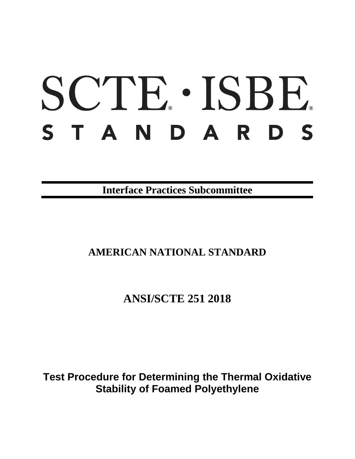# SCTE · ISBE. STANDARDS

**Interface Practices Subcommittee**

## **AMERICAN NATIONAL STANDARD**

**ANSI/SCTE 251 2018**

**Test Procedure for Determining the Thermal Oxidative Stability of Foamed Polyethylene**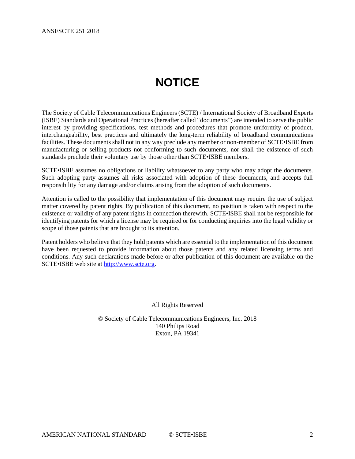# **NOTICE**

<span id="page-1-0"></span>The Society of Cable Telecommunications Engineers (SCTE) / International Society of Broadband Experts (ISBE) Standards and Operational Practices (hereafter called "documents") are intended to serve the public interest by providing specifications, test methods and procedures that promote uniformity of product, interchangeability, best practices and ultimately the long-term reliability of broadband communications facilities. These documents shall not in any way preclude any member or non-member of SCTE•ISBE from manufacturing or selling products not conforming to such documents, nor shall the existence of such standards preclude their voluntary use by those other than SCTE•ISBE members.

SCTE•ISBE assumes no obligations or liability whatsoever to any party who may adopt the documents. Such adopting party assumes all risks associated with adoption of these documents, and accepts full responsibility for any damage and/or claims arising from the adoption of such documents.

Attention is called to the possibility that implementation of this document may require the use of subject matter covered by patent rights. By publication of this document, no position is taken with respect to the existence or validity of any patent rights in connection therewith. SCTE•ISBE shall not be responsible for identifying patents for which a license may be required or for conducting inquiries into the legal validity or scope of those patents that are brought to its attention.

Patent holders who believe that they hold patents which are essential to the implementation of this document have been requested to provide information about those patents and any related licensing terms and conditions. Any such declarations made before or after publication of this document are available on the SCTE•ISBE web site at [http://www.scte.org.](http://www.scte.org/)

All Rights Reserved

© Society of Cable Telecommunications Engineers, Inc. 2018 140 Philips Road Exton, PA 19341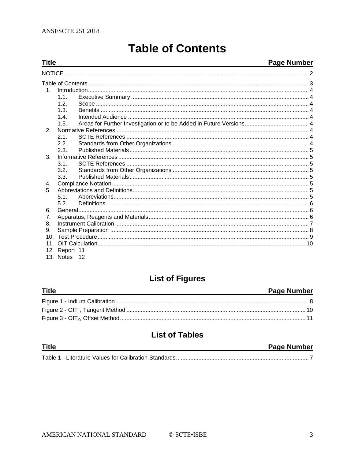<span id="page-2-0"></span>**Title** 

## **Table of Contents**

## **Page Number**

| 1               |               |  |  |
|-----------------|---------------|--|--|
|                 | 1.1.          |  |  |
|                 | 1.2.          |  |  |
|                 | 1.3.          |  |  |
|                 | 14            |  |  |
|                 | 1.5.          |  |  |
| 2.              |               |  |  |
|                 | 2.1.          |  |  |
|                 | 2.2.          |  |  |
|                 | 2.3.          |  |  |
| $\mathbf{3}$ .  |               |  |  |
|                 | 3.1.          |  |  |
|                 | 3.2.          |  |  |
|                 | 3.3.          |  |  |
| 4.              |               |  |  |
| 5.              |               |  |  |
|                 | 51            |  |  |
|                 | 5.2.          |  |  |
| 6.              |               |  |  |
| 7 <sub>1</sub>  |               |  |  |
| 8.              |               |  |  |
| 9.              |               |  |  |
| 10 <sup>1</sup> |               |  |  |
| 11              |               |  |  |
|                 | 12. Report 11 |  |  |
|                 |               |  |  |

13. Notes 12

## **List of Figures**

| <b>Title</b> | <b>Page Number</b> |
|--------------|--------------------|
|              |                    |
|              |                    |
|              |                    |

## **List of Tables**

| <b>Title</b> | <b>Page Number</b> |
|--------------|--------------------|
|              |                    |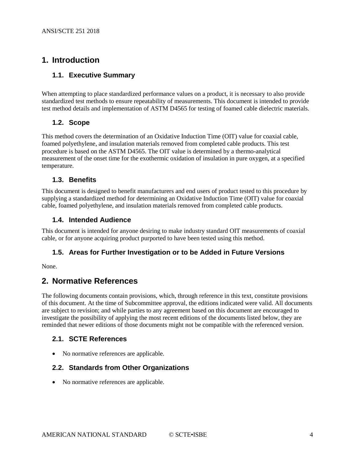## <span id="page-3-1"></span><span id="page-3-0"></span>**1. Introduction**

### **1.1. Executive Summary**

When attempting to place standardized performance values on a product, it is necessary to also provide standardized test methods to ensure repeatability of measurements. This document is intended to provide test method details and implementation of ASTM D4565 for testing of foamed cable dielectric materials.

### <span id="page-3-2"></span>**1.2. Scope**

This method covers the determination of an Oxidative Induction Time (OIT) value for coaxial cable, foamed polyethylene, and insulation materials removed from completed cable products. This test procedure is based on the ASTM D4565. The OIT value is determined by a thermo-analytical measurement of the onset time for the exothermic oxidation of insulation in pure oxygen, at a specified temperature.

## <span id="page-3-3"></span>**1.3. Benefits**

This document is designed to benefit manufacturers and end users of product tested to this procedure by supplying a standardized method for determining an Oxidative Induction Time (OIT) value for coaxial cable, foamed polyethylene, and insulation materials removed from completed cable products.

#### <span id="page-3-4"></span>**1.4. Intended Audience**

This document is intended for anyone desiring to make industry standard OIT measurements of coaxial cable, or for anyone acquiring product purported to have been tested using this method.

#### <span id="page-3-5"></span>**1.5. Areas for Further Investigation or to be Added in Future Versions**

<span id="page-3-6"></span>None.

## **2. Normative References**

The following documents contain provisions, which, through reference in this text, constitute provisions of this document. At the time of Subcommittee approval, the editions indicated were valid. All documents are subject to revision; and while parties to any agreement based on this document are encouraged to investigate the possibility of applying the most recent editions of the documents listed below, they are reminded that newer editions of those documents might not be compatible with the referenced version.

## <span id="page-3-7"></span>**2.1. SCTE References**

• No normative references are applicable.

## <span id="page-3-8"></span>**2.2. Standards from Other Organizations**

• No normative references are applicable.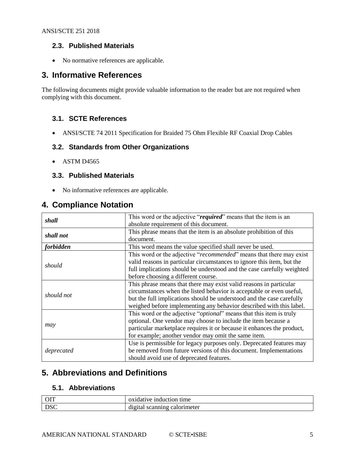## <span id="page-4-0"></span>**2.3. Published Materials**

• No normative references are applicable.

## <span id="page-4-1"></span>**3. Informative References**

The following documents might provide valuable information to the reader but are not required when complying with this document.

## <span id="page-4-2"></span>**3.1. SCTE References**

• ANSI/SCTE 74 2011 Specification for Braided 75 Ohm Flexible RF Coaxial Drop Cables

## <span id="page-4-3"></span>**3.2. Standards from Other Organizations**

<span id="page-4-4"></span>• ASTM D4565

## **3.3. Published Materials**

• No informative references are applicable.

## <span id="page-4-5"></span>**4. Compliance Notation**

| shall      | This word or the adjective "required" means that the item is an              |  |  |
|------------|------------------------------------------------------------------------------|--|--|
|            | absolute requirement of this document.                                       |  |  |
| shall not  | This phrase means that the item is an absolute prohibition of this           |  |  |
|            | document.                                                                    |  |  |
| forbidden  | This word means the value specified shall never be used.                     |  |  |
|            | This word or the adjective " <i>recommended</i> " means that there may exist |  |  |
|            | valid reasons in particular circumstances to ignore this item, but the       |  |  |
| should     | full implications should be understood and the case carefully weighted       |  |  |
|            | before choosing a different course.                                          |  |  |
|            | This phrase means that there may exist valid reasons in particular           |  |  |
| should not | circumstances when the listed behavior is acceptable or even useful,         |  |  |
|            | but the full implications should be understood and the case carefully        |  |  |
|            | weighed before implementing any behavior described with this label.          |  |  |
|            | This word or the adjective " <i>optional</i> " means that this item is truly |  |  |
|            | optional. One vendor may choose to include the item because a                |  |  |
| may        | particular marketplace requires it or because it enhances the product,       |  |  |
|            | for example; another vendor may omit the same item.                          |  |  |
|            | Use is permissible for legacy purposes only. Deprecated features may         |  |  |
| deprecated | be removed from future versions of this document. Implementations            |  |  |
|            | should avoid use of deprecated features.                                     |  |  |

## <span id="page-4-6"></span>**5. Abbreviations and Definitions**

## <span id="page-4-7"></span>**5.1. Abbreviations**

| <b>OIT</b> | oxidative<br>time<br>: induction   |
|------------|------------------------------------|
| <b>DSC</b> | digital<br>calorimeter<br>scanning |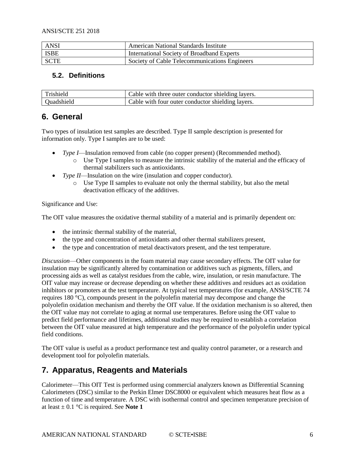| <b>ANSI</b> | American National Standards Institute         |
|-------------|-----------------------------------------------|
| ISBE        | International Society of Broadband Experts    |
| SCTE        | Society of Cable Telecommunications Engineers |

## <span id="page-5-0"></span>**5.2. Definitions**

| Trishield         | Cable with three outer conductor shielding layers. |
|-------------------|----------------------------------------------------|
| <b>Duadshield</b> | Cable with four outer conductor shielding layers.  |

## <span id="page-5-1"></span>**6. General**

Two types of insulation test samples are described. Type II sample description is presented for information only. Type I samples are to be used:

- *Type I*—Insulation removed from cable (no copper present) (Recommended method).
	- o Use Type I samples to measure the intrinsic stability of the material and the efficacy of thermal stabilizers such as antioxidants.
- *Type II*—Insulation on the wire (insulation and copper conductor).
	- o Use Type II samples to evaluate not only the thermal stability, but also the metal deactivation efficacy of the additives.

#### Significance and Use:

The OIT value measures the oxidative thermal stability of a material and is primarily dependent on:

- the intrinsic thermal stability of the material,
- the type and concentration of antioxidants and other thermal stabilizers present,
- the type and concentration of metal deactivators present, and the test temperature.

*Discussion*—Other components in the foam material may cause secondary effects. The OIT value for insulation may be significantly altered by contamination or additives such as pigments, fillers, and processing aids as well as catalyst residues from the cable, wire, insulation, or resin manufacture. The OIT value may increase or decrease depending on whether these additives and residues act as oxidation inhibitors or promoters at the test temperature. At typical test temperatures (for example, ANSI/SCTE 74 requires 180 °C), compounds present in the polyolefin material may decompose and change the polyolefin oxidation mechanism and thereby the OIT value. If the oxidation mechanism is so altered, then the OIT value may not correlate to aging at normal use temperatures. Before using the OIT value to predict field performance and lifetimes, additional studies may be required to establish a correlation between the OIT value measured at high temperature and the performance of the polyolefin under typical field conditions.

The OIT value is useful as a product performance test and quality control parameter, or a research and development tool for polyolefin materials.

## <span id="page-5-2"></span>**7. Apparatus, Reagents and Materials**

Calorimeter—This OIT Test is performed using commercial analyzers known as Differential Scanning Calorimeters (DSC) similar to the Perkin Elmer DSC8000 or equivalent which measures heat flow as a function of time and temperature. A DSC with isothermal control and specimen temperature precision of at least  $\pm$  0.1 °C is required. See **Note 1**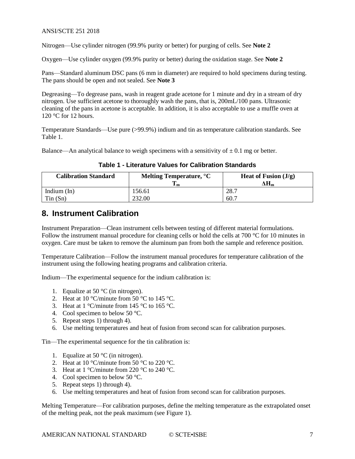Nitrogen—Use cylinder nitrogen (99.9% purity or better) for purging of cells. See **Note 2**

Oxygen—Use cylinder oxygen (99.9% purity or better) during the oxidation stage. See **Note 2**

Pans—Standard aluminum DSC pans (6 mm in diameter) are required to hold specimens during testing. The pans should be open and not sealed. See **Note 3**

Degreasing—To degrease pans, wash in reagent grade acetone for 1 minute and dry in a stream of dry nitrogen. Use sufficient acetone to thoroughly wash the pans, that is, 200mL/100 pans. Ultrasonic cleaning of the pans in acetone is acceptable. In addition, it is also acceptable to use a muffle oven at 120 °C for 12 hours.

Temperature Standards—Use pure (>99.9%) indium and tin as temperature calibration standards. See Table 1.

<span id="page-6-1"></span>Balance—An analytical balance to weigh specimens with a sensitivity of  $\pm$  0.1 mg or better.

**Table 1 - Literature Values for Calibration Standards**

| <b>Calibration Standard</b> | Melting Temperature, °C | Heat of Fusion $(J/g)$ |
|-----------------------------|-------------------------|------------------------|
|                             | 1 m                     | ΔHm                    |
| Indium $(In)$               | 156.61                  | 28.7                   |
| Tin(Sn)                     | 232.00                  | 60.7                   |

## <span id="page-6-0"></span>**8. Instrument Calibration**

Instrument Preparation—Clean instrument cells between testing of different material formulations. Follow the instrument manual procedure for cleaning cells or hold the cells at 700 °C for 10 minutes in oxygen. Care must be taken to remove the aluminum pan from both the sample and reference position.

Temperature Calibration—Follow the instrument manual procedures for temperature calibration of the instrument using the following heating programs and calibration criteria.

Indium—The experimental sequence for the indium calibration is:

- 1. Equalize at 50  $\mathrm{^{\circ}C}$  (in nitrogen).
- 2. Heat at 10 °C/minute from  $50$  °C to 145 °C.
- 3. Heat at  $1 \degree$ C/minute from 145  $\degree$ C to 165  $\degree$ C.
- 4. Cool specimen to below 50 °C.
- 5. Repeat steps 1) through 4).
- 6. Use melting temperatures and heat of fusion from second scan for calibration purposes.

Tin—The experimental sequence for the tin calibration is:

- 1. Equalize at 50  $^{\circ}$ C (in nitrogen).
- 2. Heat at 10 °C/minute from 50 °C to 220 °C.
- 3. Heat at  $1 \degree$ C/minute from 220  $\degree$ C to 240  $\degree$ C.
- 4. Cool specimen to below 50 °C.
- 5. Repeat steps 1) through 4).
- 6. Use melting temperatures and heat of fusion from second scan for calibration purposes.

Melting Temperature—For calibration purposes, define the melting temperature as the extrapolated onset of the melting peak, not the peak maximum (see [Figure 1\)](#page-7-1).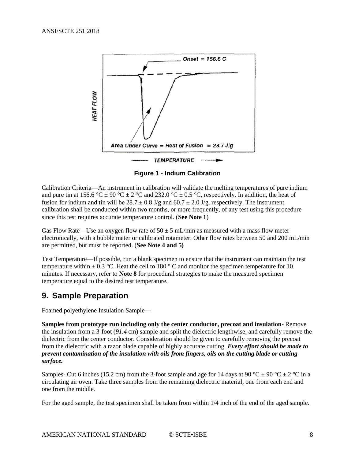

**Figure 1 - Indium Calibration**

<span id="page-7-1"></span>Calibration Criteria—An instrument in calibration will validate the melting temperatures of pure indium and pure tin at 156.6 °C  $\pm$  90 °C  $\pm$  2 °C and 232.0 °C  $\pm$  0.5 °C, respectively. In addition, the heat of fusion for indium and tin will be  $28.7 \pm 0.8$  J/g and  $60.7 \pm 2.0$  J/g, respectively. The instrument calibration shall be conducted within two months, or more frequently, of any test using this procedure since this test requires accurate temperature control. (**See Note 1**)

Gas Flow Rate—Use an oxygen flow rate of  $50 \pm 5$  mL/min as measured with a mass flow meter electronically, with a bubble meter or calibrated rotameter. Other flow rates between 50 and 200 mL/min are permitted, but must be reported. (**See Note 4 and 5)**

Test Temperature—If possible, run a blank specimen to ensure that the instrument can maintain the test temperature within  $\pm$  0.3 °C. Heat the cell to 180 ° C and monitor the specimen temperature for 10 minutes. If necessary, refer to **Note 8** for procedural strategies to make the measured specimen temperature equal to the desired test temperature.

## <span id="page-7-0"></span>**9. Sample Preparation**

Foamed polyethylene Insulation Sample—

**Samples from prototype run including only the center conductor, precoat and insulation**- Remove the insulation from a 3-foot (*91.4* cm) sample and split the dielectric lengthwise, and carefully remove the dielectric from the center conductor. Consideration should be given to carefully removing the precoat from the dielectric with a razor blade capable of highly accurate cutting. *Every effort should be made to prevent contamination of the insulation with oils from fingers, oils on the cutting blade or cutting surface.*

Samples- Cut 6 inches (15.2 cm) from the 3-foot sample and age for 14 days at 90 °C  $\pm$  90 °C  $\pm$  2 °C in a circulating air oven. Take three samples from the remaining dielectric material, one from each end and one from the middle.

For the aged sample, the test specimen shall be taken from within 1/4 inch of the end of the aged sample.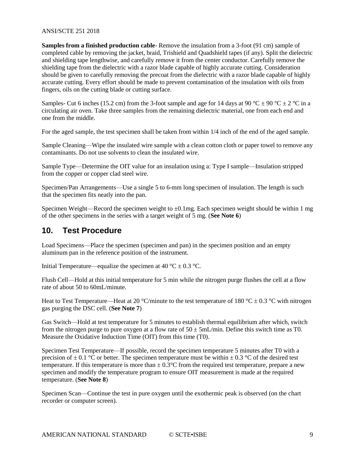**Samples from a finished production cable**- Remove the insulation from a 3-foot (91 cm) sample of completed cable by removing the jacket, braid, Trishield and Quadshield tapes (if any). Split the dielectric and shielding tape lengthwise, and carefully remove it from the center conductor. Carefully remove the shielding tape from the dielectric with a razor blade capable of highly accurate cutting. Consideration should be given to carefully removing the precoat from the dielectric with a razor blade capable of highly accurate cutting. Every effort should be made to prevent contamination of the insulation with oils from fingers, oils on the cutting blade or cutting surface.

Samples- Cut 6 inches (15.2 cm) from the 3-foot sample and age for 14 days at 90 °C  $\pm$  90 °C  $\pm$  2 °C in a circulating air oven. Take three samples from the remaining dielectric material, one from each end and one from the middle.

For the aged sample, the test specimen shall be taken from within 1/4 inch of the end of the aged sample.

Sample Cleaning—Wipe the insulated wire sample with a clean cotton cloth or paper towel to remove any contaminants. Do not use solvents to clean the insulated wire.

Sample Type—Determine the OIT value for an insulation using a: Type I sample—Insulation stripped from the copper or copper clad steel wire.

Specimen/Pan Arrangements—Use a single 5 to 6-mm long specimen of insulation. The length is such that the specimen fits neatly into the pan.

Specimen Weight—Record the specimen weight to  $\pm 0.1$ mg. Each specimen weight should be within 1 mg of the other specimens in the series with a target weight of 5 mg. (**See Note 6**)

## <span id="page-8-0"></span>**10. Test Procedure**

Load Specimens—Place the specimen (specimen and pan) in the specimen position and an empty aluminum pan in the reference position of the instrument.

Initial Temperature—equalize the specimen at 40 °C  $\pm$  0.3 °C.

Flush Cell—Hold at this initial temperature for 5 min while the nitrogen purge flushes the cell at a flow rate of about 50 to 60mL/minute.

Heat to Test Temperature—Heat at 20 °C/minute to the test temperature of 180 °C  $\pm$  0.3 °C with nitrogen gas purging the DSC cell. (**See Note 7**)

Gas Switch—Hold at test temperature for 5 minutes to establish thermal equilibrium after which, switch from the nitrogen purge to pure oxygen at a flow rate of  $50 \pm 5$ mL/min. Define this switch time as T0. Measure the Oxidative Induction Time (OIT) from this time (T0).

Specimen Test Temperature—If possible, record the specimen temperature 5 minutes after T0 with a precision of  $\pm$  0.1 °C or better. The specimen temperature must be within  $\pm$  0.3 °C of the desired test temperature. If this temperature is more than  $\pm$  0.3°C from the required test temperature, prepare a new specimen and modify the temperature program to ensure OIT measurement is made at the required temperature. (**See Note 8**)

Specimen Scan—Continue the test in pure oxygen until the exothermic peak is observed (on the chart recorder or computer screen).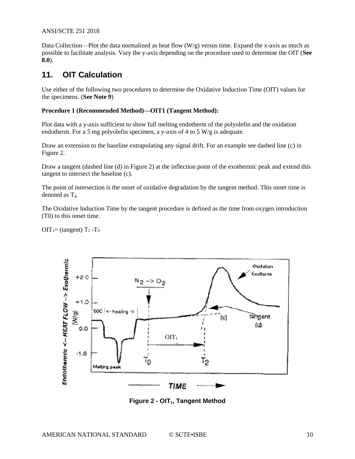Data Collection—Plot the data normalized as heat flow  $(W/g)$  versus time. Expand the x-axis as much as possible to facilitate analysis. Vary the y-axis depending on the procedure used to determine the OIT (**See 8.0**).

## <span id="page-9-0"></span>**11. OIT Calculation**

Use either of the following two procedures to determine the Oxidative Induction Time (OIT) values for the specimens. (**See Note 9**)

#### **Procedure 1 (Recommended Method)—OIT1 (Tangent Method):**

Plot data with a y-axis sufficient to show full melting endotherm of the polyolefin and the oxidation endotherm. For a 5 mg polyolefin specimen, a y-axis of 4 to 5 W/g is adequate.

Draw an extension to the baseline extrapolating any signal drift. For an example see dashed line (c) in [Figure 2.](#page-9-1)

Draw a tangent (dashed line (d) in [Figure 2\)](#page-9-1) at the inflection point of the exothermic peak and extend this tangent to intersect the baseline (c).

The point of intersection is the onset of oxidative degradation by the tangent method. This onset time is denoted as  $T<sub>2</sub>$ .

The Oxidative Induction Time by the tangent procedure is defined as the time from oxygen introduction (T0) to this onset time.

OIT<sub>1</sub>= (tangent) T<sub>2</sub> -T<sub>0</sub>



<span id="page-9-1"></span>**Figure 2 - OIT1, Tangent Method**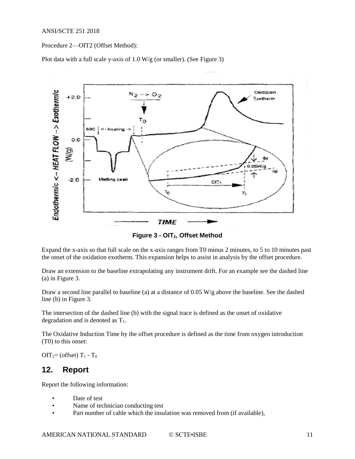Procedure 2—OIT2 (Offset Method):

Plot data with a full scale y-axis of 1.0 W/g (or smaller). (See [Figure 3\)](#page-10-1)



**Figure 3 - OIT2, Offset Method**

<span id="page-10-1"></span>Expand the x-axis so that full scale on the x-axis ranges from T0 minus 2 minutes, to 5 to 10 minutes past the onset of the oxidation exotherm. This expansion helps to assist in analysis by the offset procedure.

Draw an extension to the baseline extrapolating any instrument drift. For an example see the dashed line (a) in [Figure 3.](#page-10-1)

Draw a second line parallel to baseline (a) at a distance of 0.05 W/g above the baseline. See the dashed line (b) in [Figure 3.](#page-10-1)

The intersection of the dashed line (b) with the signal trace is defined as the onset of oxidative degradation and is denoted as  $T_1$ .

The Oxidative Induction Time by the offset procedure is defined as the time from oxygen introduction (T0) to this onset:

<span id="page-10-0"></span> $OIT_2=$  (offset)  $T_1 - T_0$ 

## **12. Report**

Report the following information:

- Date of test
- Name of technician conducting test
- Part number of cable which the insulation was removed from (if available),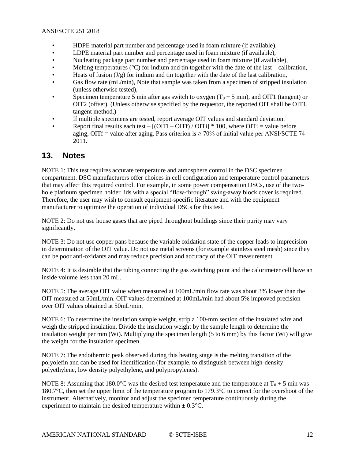- HDPE material part number and percentage used in foam mixture (if available),
- LDPE material part number and percentage used in foam mixture (if available),
- Nucleating package part number and percentage used in foam mixture (if available),
- Melting temperatures ( $^{\circ}$ C) for indium and tin together with the date of the last calibration,
- Heats of fusion  $(J/g)$  for indium and tin together with the date of the last calibration,
- Gas flow rate (mL/min), Note that sample was taken from a specimen of stripped insulation (unless otherwise tested),
- Specimen temperature 5 min after gas switch to oxygen  $(T_0 + 5$  min), and OIT1 (tangent) or OIT2 (offset). (Unless otherwise specified by the requestor, the reported OIT shall be OIT1, tangent method.)
- If multiple specimens are tested, report average OIT values and standard deviation.
- Report final results each test  $[(\text{OITi} \text{OITf}) / \text{OITi}] * 100$ , where  $\text{OITi} = \text{value before}$ aging, OITf = value after aging. Pass criterion is  $\geq 70\%$  of initial value per ANSI/SCTE 74 2011.

## <span id="page-11-0"></span>**13. Notes**

NOTE 1: This test requires accurate temperature and atmosphere control in the DSC specimen compartment. DSC manufacturers offer choices in cell configuration and temperature control parameters that may affect this required control. For example, in some power compensation DSCs, use of the twohole platinum specimen holder lids with a special "flow-through" swing-away block cover is required. Therefore, the user may wish to consult equipment-specific literature and with the equipment manufacturer to optimize the operation of individual DSCs for this test.

NOTE 2: Do not use house gases that are piped throughout buildings since their purity may vary significantly.

NOTE 3: Do not use copper pans because the variable oxidation state of the copper leads to imprecision in determination of the OIT value. Do not use metal screens (for example stainless steel mesh) since they can be poor anti-oxidants and may reduce precision and accuracy of the OIT measurement.

NOTE 4: It is desirable that the tubing connecting the gas switching point and the calorimeter cell have an inside volume less than 20 mL.

NOTE 5: The average OIT value when measured at 100mL/min flow rate was about 3% lower than the OIT measured at 50mL/min. OIT values determined at 100mL/min had about 5% improved precision over OIT values obtained at 50mL/min.

NOTE 6: To determine the insulation sample weight, strip a 100-mm section of the insulated wire and weigh the stripped insulation. Divide the insulation weight by the sample length to determine the insulation weight per mm (Wi). Multiplying the specimen length (5 to 6 mm) by this factor (Wi) will give the weight for the insulation specimen.

NOTE 7: The endothermic peak observed during this heating stage is the melting transition of the polyolefin and can be used for identification (for example, to distinguish between high-density polyethylene, low density polyethylene, and polypropylenes).

NOTE 8: Assuming that 180.0°C was the desired test temperature and the temperature at  $T_0 + 5$  min was 180.7°C, then set the upper limit of the temperature program to 179.3°C to correct for the overshoot of the instrument. Alternatively, monitor and adjust the specimen temperature continuously during the experiment to maintain the desired temperature within  $\pm 0.3$ °C.